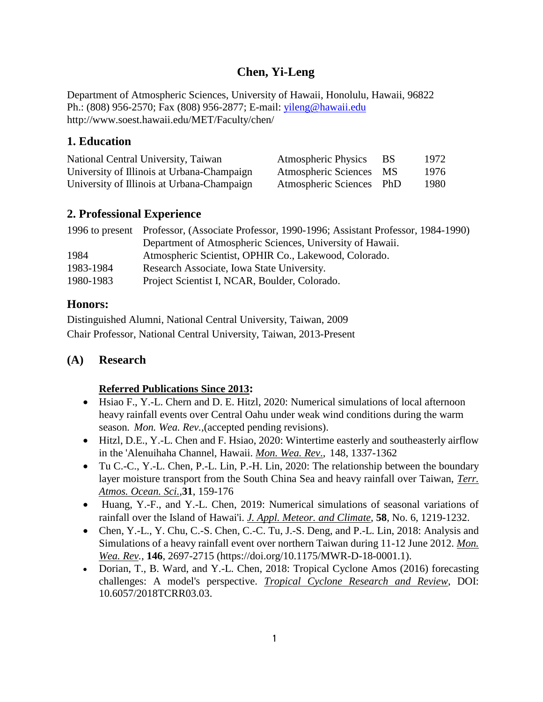# **Chen, Yi-Leng**

Department of Atmospheric Sciences, University of Hawaii, Honolulu, Hawaii, 96822 Ph.: (808) 956-2570; Fax (808) 956-2877; E-mail: [yileng@hawaii.edu](mailto:yileng@hawaii.edu) http://www.soest.hawaii.edu/MET/Faculty/chen/

## **1. Education**

| National Central University, Taiwan        | <b>Atmospheric Physics</b> | - BS | 1972 |
|--------------------------------------------|----------------------------|------|------|
| University of Illinois at Urbana-Champaign | Atmospheric Sciences MS    |      | 1976 |
| University of Illinois at Urbana-Champaign | Atmospheric Sciences PhD   |      | 1980 |

## **2. Professional Experience**

|           | 1996 to present Professor, (Associate Professor, 1990-1996; Assistant Professor, 1984-1990) |
|-----------|---------------------------------------------------------------------------------------------|
|           | Department of Atmospheric Sciences, University of Hawaii.                                   |
| 1984      | Atmospheric Scientist, OPHIR Co., Lakewood, Colorado.                                       |
| 1983-1984 | Research Associate, Iowa State University.                                                  |
| 1980-1983 | Project Scientist I, NCAR, Boulder, Colorado.                                               |

## **Honors:**

Distinguished Alumni, National Central University, Taiwan, 2009 Chair Professor, National Central University, Taiwan, 2013-Present

## **(A) Research**

## **Referred Publications Since 2013:**

- Hsiao F., Y.-L. Chern and D. E. Hitzl, 2020: Numerical simulations of local afternoon heavy rainfall events over Central Oahu under weak wind conditions during the warm season*. Mon. Wea. Rev.,*(accepted pending revisions).
- Hitzl, D.E., Y.-L. Chen and F. Hsiao, 2020: Wintertime easterly and southeasterly airflow in the 'Alenuihaha Channel, Hawaii. *Mon. Wea. Rev*., 148, 1337-1362
- Tu C.-C., Y.-L. Chen, P.-L. Lin, P.-H. Lin, 2020: The relationship between the boundary layer moisture transport from the South China Sea and heavy rainfall over Taiwan, *Terr. Atmos. Ocean. Sci.,***31**, 159-176
- Huang, Y.-F., and Y.-L. Chen, 2019: Numerical simulations of seasonal variations of rainfall over the Island of Hawai'i. *J. Appl. Meteor. and Climate*, **58**, No. 6, 1219-1232.
- Chen, Y.-L., Y. Chu, C.-S. Chen, C.-C. Tu, J.-S. Deng, and P.-L. Lin, 2018: Analysis and Simulations of a heavy rainfall event over northern Taiwan during 11-12 June 2012. *Mon. Wea. Rev.,* **146**, 2697-2715 (https://doi.org/10.1175/MWR-D-18-0001.1).
- Dorian, T., B. Ward, and Y.-L. Chen, 2018: Tropical Cyclone Amos (2016) forecasting challenges: A model's perspective. *Tropical Cyclone Research and Review*, DOI: 10.6057/2018TCRR03.03.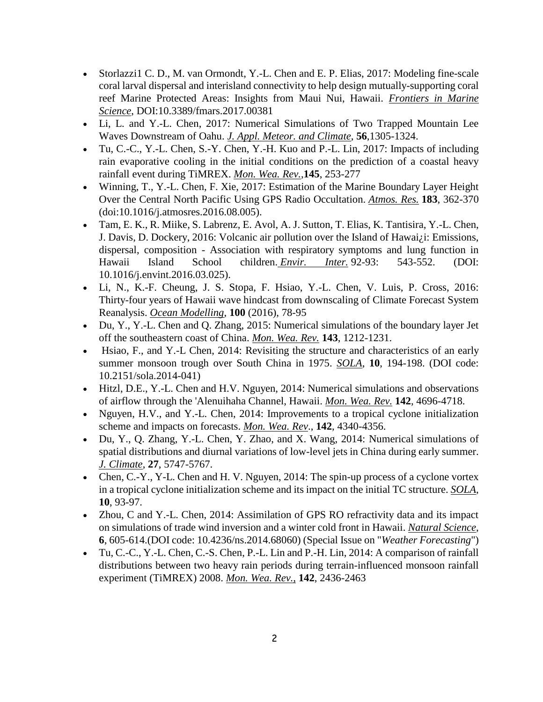- Storlazzi1 C. D., M. van Ormondt, Y.-L. Chen and E. P. Elias, 2017: Modeling fine-scale coral larval dispersal and interisland connectivity to help design mutually-supporting coral reef Marine Protected Areas: Insights from Maui Nui, Hawaii. *Frontiers in Marine Science*, DOI:10.3389/fmars.2017.00381
- Li, L. and Y.-L. Chen, 2017: Numerical Simulations of Two Trapped Mountain Lee Waves Downstream of Oahu. *J. Appl. Meteor. and Climate*, **56**,1305-1324.
- Tu, C.-C., Y.-L. Chen, S.-Y. Chen, Y.-H. Kuo and P.-L. Lin, 2017: Impacts of including rain evaporative cooling in the initial conditions on the prediction of a coastal heavy rainfall event during TiMREX. *Mon. Wea. Rev.*,**145**, 253-277
- Winning, T., Y.-L. Chen, F. Xie, 2017: Estimation of the Marine Boundary Layer Height Over the Central North Pacific Using GPS Radio Occultation. *Atmos. Res.* **183**, 362-370 (doi:10.1016/j.atmosres.2016.08.005).
- Tam, E. K., R. Miike, S. Labrenz, E. Avol, A. J. Sutton, T. Elias, K. Tantisira, Y.-L. Chen, J. Davis, D. Dockery, 2016: Volcanic air pollution over the Island of Hawai¿i: Emissions, dispersal, composition - Association with respiratory symptoms and lung function in Hawaii Island School children. *Envir. Inter.* 92-93: 543-552. (DOI: 10.1016/j.envint.2016.03.025).
- Li, N., K.-F. Cheung, J. S. Stopa, F. Hsiao, Y.-L. Chen, V. Luis, P. Cross, 2016: Thirty-four years of Hawaii wave hindcast from downscaling of Climate Forecast System Reanalysis. *Ocean Modelling*, **100** (2016), 78-95
- Du, Y., Y.-L. Chen and Q. Zhang, 2015: Numerical simulations of the boundary layer Jet off the southeastern coast of China. *Mon. Wea. Rev.* **143**, 1212-1231.
- Hsiao, F., and Y.-L Chen, 2014: Revisiting the structure and characteristics of an early summer monsoon trough over South China in 1975. *SOLA*, **10**, 194-198. (DOI code: 10.2151/sola.2014-041)
- Hitzl, D.E., Y.-L. Chen and H.V. Nguyen, 2014: Numerical simulations and observations of airflow through the 'Alenuihaha Channel, Hawaii. *Mon. Wea. Rev.* **142**, 4696-4718.
- Nguyen, H.V., and Y.-L. Chen, 2014: Improvements to a tropical cyclone initialization scheme and impacts on forecasts. *Mon. Wea. Rev*., **142**, 4340-4356.
- Du, Y., Q. Zhang, Y.-L. Chen, Y. Zhao, and X. Wang, 2014: Numerical simulations of spatial distributions and diurnal variations of low-level jets in China during early summer. *J. Climate*, **27**, 5747-5767.
- Chen, C.-Y., Y-L. Chen and H. V. Nguyen, 2014: The spin-up process of a cyclone vortex in a tropical cyclone initialization scheme and its impact on the initial TC structure. *SOLA*, **10**, 93-97.
- Zhou, C and Y.-L. Chen, 2014: Assimilation of GPS RO refractivity data and its impact on simulations of trade wind inversion and a winter cold front in Hawaii. *Natural Science*, **6**, 605-614.(DOI code: 10.4236/ns.2014.68060) (Special Issue on "*Weather Forecasting*")
- Tu, C.-C., Y.-L. Chen, C.-S. Chen, P.-L. Lin and P.-H. Lin, 2014: A comparison of rainfall distributions between two heavy rain periods during terrain-influenced monsoon rainfall experiment (TiMREX) 2008. *Mon. Wea. Rev.,* **142**, 2436-2463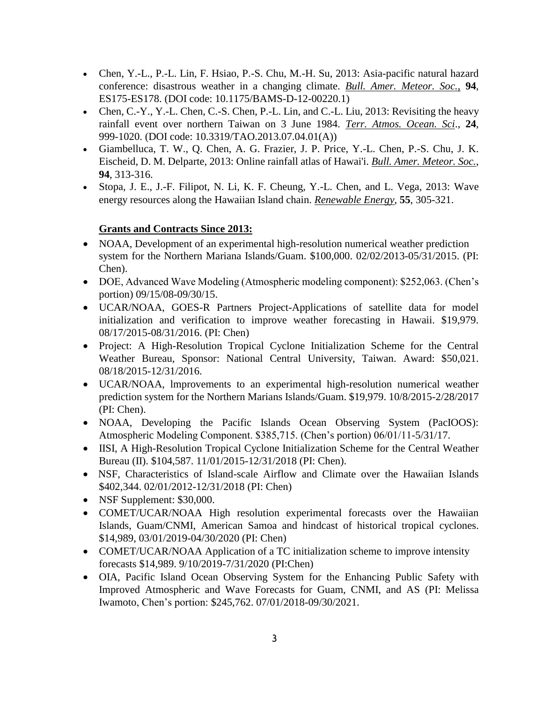- Chen, Y.-L., P.-L. Lin, F. Hsiao, P.-S. Chu, M.-H. Su, 2013: Asia-pacific natural hazard conference: disastrous weather in a changing climate. *Bull. Amer. Meteor. Soc.,* **94**, ES175-ES178. (DOI code: 10.1175/BAMS-D-12-00220.1)
- Chen, C.-Y., Y.-L. Chen, C.-S. Chen, P.-L. Lin, and C.-L. Liu, 2013: Revisiting the heavy rainfall event over northern Taiwan on 3 June 1984. *Terr. Atmos. Ocean. Sci*., **24**, 999-1020. (DOI code: 10.3319/TAO.2013.07.04.01(A))
- Giambelluca, T. W., Q. Chen, A. G. Frazier, J. P. Price, Y.-L. Chen, P.-S. Chu, J. K. Eischeid, D. M. Delparte, 2013: Online rainfall atlas of Hawai'i. *Bull. Amer. Meteor. Soc.*, **94**, 313-316.
- Stopa, J. E., J.-F. Filipot, N. Li, K. F. Cheung, Y.-L. Chen, and L. Vega, 2013: Wave energy resources along the Hawaiian Island chain. *Renewable Energy*, **55**, 305-321.

## **Grants and Contracts Since 2013:**

- NOAA, Development of an experimental high-resolution numerical weather prediction system for the Northern Mariana Islands/Guam. \$100,000. 02/02/2013-05/31/2015. (PI: Chen).
- DOE, Advanced Wave Modeling (Atmospheric modeling component): \$252,063. (Chen's portion) 09/15/08-09/30/15.
- UCAR/NOAA, GOES-R Partners Project-Applications of satellite data for model initialization and verification to improve weather forecasting in Hawaii. \$19,979. 08/17/2015-08/31/2016. (PI: Chen)
- Project: A High-Resolution Tropical Cyclone Initialization Scheme for the Central Weather Bureau, Sponsor: National Central University, Taiwan. Award: \$50,021. 08/18/2015-12/31/2016.
- UCAR/NOAA, lmprovements to an experimental high-resolution numerical weather prediction system for the Northern Marians Islands/Guam. \$19,979. 10/8/2015-2/28/2017 (PI: Chen).
- NOAA, Developing the Pacific Islands Ocean Observing System (PacIOOS): Atmospheric Modeling Component. \$385,715. (Chen's portion) 06/01/11-5/31/17.
- IISI, A High-Resolution Tropical Cyclone Initialization Scheme for the Central Weather Bureau (II). \$104,587. 11/01/2015-12/31/2018 (PI: Chen).
- NSF, Characteristics of Island-scale Airflow and Climate over the Hawaiian Islands \$402,344. 02/01/2012-12/31/2018 (PI: Chen)
- NSF Supplement: \$30,000.
- COMET/UCAR/NOAA High resolution experimental forecasts over the Hawaiian Islands, Guam/CNMI, American Samoa and hindcast of historical tropical cyclones. \$14,989, 03/01/2019-04/30/2020 (PI: Chen)
- COMET/UCAR/NOAA Application of a TC initialization scheme to improve intensity forecasts \$14,989. 9/10/2019-7/31/2020 (PI:Chen)
- OIA, Pacific Island Ocean Observing System for the Enhancing Public Safety with Improved Atmospheric and Wave Forecasts for Guam, CNMI, and AS (PI: Melissa Iwamoto, Chen's portion: \$245,762. 07/01/2018-09/30/2021.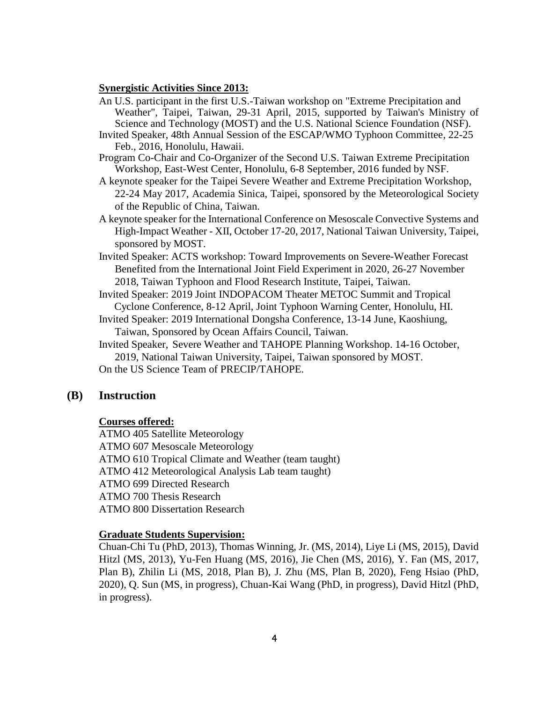#### **Synergistic Activities Since 2013:**

- An U.S. participant in the first U.S.-Taiwan workshop on "Extreme Precipitation and Weather", Taipei, Taiwan, 29-31 April, 2015, supported by Taiwan's Ministry of Science and Technology (MOST) and the U.S. National Science Foundation (NSF).
- Invited Speaker, 48th Annual Session of the ESCAP/WMO Typhoon Committee, 22-25 Feb., 2016, Honolulu, Hawaii.
- Program Co-Chair and Co-Organizer of the Second U.S. Taiwan Extreme Precipitation Workshop, East-West Center, Honolulu, 6-8 September, 2016 funded by NSF.
- A keynote speaker for the Taipei Severe Weather and Extreme Precipitation Workshop, 22-24 May 2017, Academia Sinica, Taipei, sponsored by the Meteorological Society of the Republic of China, Taiwan.
- A keynote speaker for the International Conference on Mesoscale Convective Systems and High-Impact Weather - XII, October 17-20, 2017, National Taiwan University, Taipei, sponsored by MOST.
- Invited Speaker: ACTS workshop: Toward Improvements on Severe-Weather Forecast Benefited from the International Joint Field Experiment in 2020, 26-27 November 2018, Taiwan Typhoon and Flood Research Institute, Taipei, Taiwan.
- Invited Speaker: 2019 Joint INDOPACOM Theater METOC Summit and Tropical Cyclone Conference, 8-12 April, Joint Typhoon Warning Center, Honolulu, HI.
- Invited Speaker: 2019 International Dongsha Conference, 13-14 June, Kaoshiung, Taiwan, Sponsored by Ocean Affairs Council, Taiwan.

Invited Speaker, Severe Weather and TAHOPE Planning Workshop. 14-16 October, 2019, National Taiwan University, Taipei, Taiwan sponsored by MOST. On the US Science Team of PRECIP/TAHOPE.

#### **(B) Instruction**

#### **Courses offered:**

ATMO 405 Satellite Meteorology ATMO 607 Mesoscale Meteorology ATMO 610 Tropical Climate and Weather (team taught) ATMO 412 Meteorological Analysis Lab team taught) ATMO 699 Directed Research ATMO 700 Thesis Research ATMO 800 Dissertation Research

#### **Graduate Students Supervision:**

Chuan-Chi Tu (PhD, 2013), Thomas Winning, Jr. (MS, 2014), Liye Li (MS, 2015), David Hitzl (MS, 2013), Yu-Fen Huang (MS, 2016), Jie Chen (MS, 2016), Y. Fan (MS, 2017, Plan B), Zhilin Li (MS, 2018, Plan B), J. Zhu (MS, Plan B, 2020), Feng Hsiao (PhD, 2020), Q. Sun (MS, in progress), Chuan-Kai Wang (PhD, in progress), David Hitzl (PhD, in progress).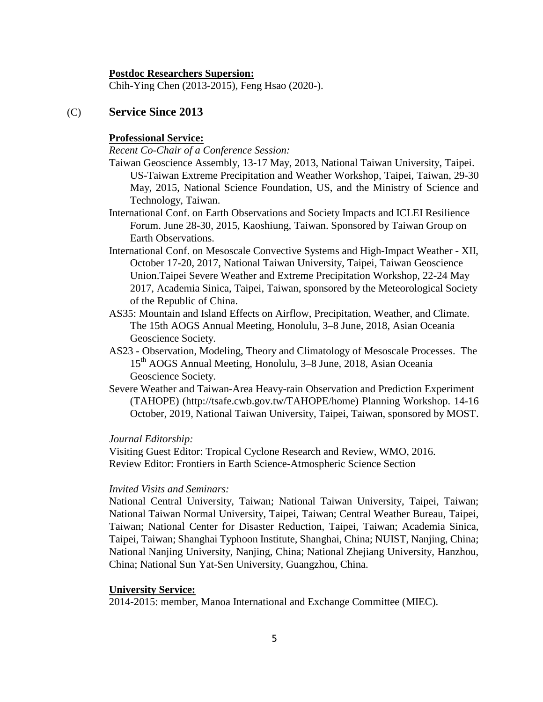#### **Postdoc Researchers Supersion:**

Chih-Ying Chen (2013-2015), Feng Hsao (2020-).

### (C) **Service Since 2013**

#### **Professional Service:**

*Recent Co-Chair of a Conference Session:*

- Taiwan Geoscience Assembly, 13-17 May, 2013, National Taiwan University, Taipei. US-Taiwan Extreme Precipitation and Weather Workshop, Taipei, Taiwan, 29-30 May, 2015, National Science Foundation, US, and the Ministry of Science and Technology, Taiwan.
- International Conf. on Earth Observations and Society Impacts and ICLEI Resilience Forum. June 28-30, 2015, Kaoshiung, Taiwan. Sponsored by Taiwan Group on Earth Observations.
- International Conf. on Mesoscale Convective Systems and High-Impact Weather XII, October 17-20, 2017, National Taiwan University, Taipei, Taiwan Geoscience Union.Taipei Severe Weather and Extreme Precipitation Workshop, 22-24 May 2017, Academia Sinica, Taipei, Taiwan, sponsored by the Meteorological Society of the Republic of China.
- AS35: Mountain and Island Effects on Airflow, Precipitation, Weather, and Climate. The 15th AOGS Annual Meeting, Honolulu, 3–8 June, 2018, Asian Oceania Geoscience Society.
- AS23 Observation, Modeling, Theory and Climatology of Mesoscale Processes. The 15th AOGS Annual Meeting, Honolulu, 3–8 June, 2018, Asian Oceania Geoscience Society.
- Severe Weather and Taiwan-Area Heavy-rain Observation and Prediction Experiment (TAHOPE) (http://tsafe.cwb.gov.tw/TAHOPE/home) Planning Workshop. 14-16 October, 2019, National Taiwan University, Taipei, Taiwan, sponsored by MOST.

### *Journal Editorship:*

Visiting Guest Editor: Tropical Cyclone Research and Review, WMO, 2016. Review Editor: Frontiers in Earth Science-Atmospheric Science Section

### *Invited Visits and Seminars:*

National Central University, Taiwan; National Taiwan University, Taipei, Taiwan; National Taiwan Normal University, Taipei, Taiwan; Central Weather Bureau, Taipei, Taiwan; National Center for Disaster Reduction, Taipei, Taiwan; Academia Sinica, Taipei, Taiwan; Shanghai Typhoon Institute, Shanghai, China; NUIST, Nanjing, China; National Nanjing University, Nanjing, China; National Zhejiang University, Hanzhou, China; National Sun Yat-Sen University, Guangzhou, China.

### **University Service:**

2014-2015: member, Manoa International and Exchange Committee (MIEC).